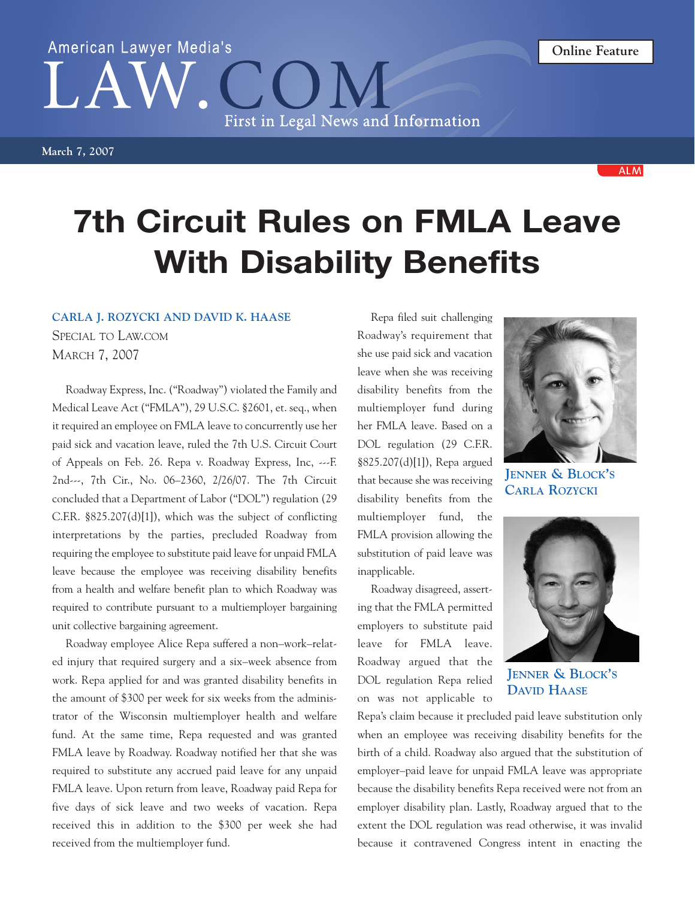## American Lawyer Media's First in Legal News and Information

**March 7, 2007**

## **7th Circuit Rules on FMLA Leave With Disability Benefits**

## **CARLA J. ROZYCKI AND DAVID K. HAASE**

SPECIAL TO LAW.COM MARCH 7, 2007

Roadway Express, Inc. ("Roadway") violated the Family and Medical Leave Act ("FMLA"), 29 U.S.C. §2601, et. seq., when it required an employee on FMLA leave to concurrently use her paid sick and vacation leave, ruled the 7th U.S. Circuit Court of Appeals on Feb. 26. Repa v. Roadway Express, Inc, ---F. 2nd---, 7th Cir., No. 06–2360, 2/26/07. The 7th Circuit concluded that a Department of Labor ("DOL") regulation (29 C.F.R. §825.207(d)[1]), which was the subject of conflicting interpretations by the parties, precluded Roadway from requiring the employee to substitute paid leave for unpaid FMLA leave because the employee was receiving disability benefits from a health and welfare benefit plan to which Roadway was required to contribute pursuant to a multiemployer bargaining unit collective bargaining agreement.

Roadway employee Alice Repa suffered a non–work–related injury that required surgery and a six–week absence from work. Repa applied for and was granted disability benefits in the amount of \$300 per week for six weeks from the administrator of the Wisconsin multiemployer health and welfare fund. At the same time, Repa requested and was granted FMLA leave by Roadway. Roadway notified her that she was required to substitute any accrued paid leave for any unpaid FMLA leave. Upon return from leave, Roadway paid Repa for five days of sick leave and two weeks of vacation. Repa received this in addition to the \$300 per week she had received from the multiemployer fund.

Repa filed suit challenging Roadway's requirement that she use paid sick and vacation leave when she was receiving disability benefits from the multiemployer fund during her FMLA leave. Based on a DOL regulation (29 C.F.R. §825.207(d)[1]), Repa argued that because she was receiving disability benefits from the multiemployer fund, the FMLA provision allowing the substitution of paid leave was inapplicable.

Roadway disagreed, asserting that the FMLA permitted employers to substitute paid leave for FMLA leave. Roadway argued that the DOL regulation Repa relied on was not applicable to

**JENNER & BLOCK'S CARLA ROZYCKI**

**JENNER & BLOCK'S DAVID HAASE**

Repa's claim because it precluded paid leave substitution only when an employee was receiving disability benefits for the birth of a child. Roadway also argued that the substitution of employer–paid leave for unpaid FMLA leave was appropriate because the disability benefits Repa received were not from an employer disability plan. Lastly, Roadway argued that to the extent the DOL regulation was read otherwise, it was invalid because it contravened Congress intent in enacting the





**ALM**